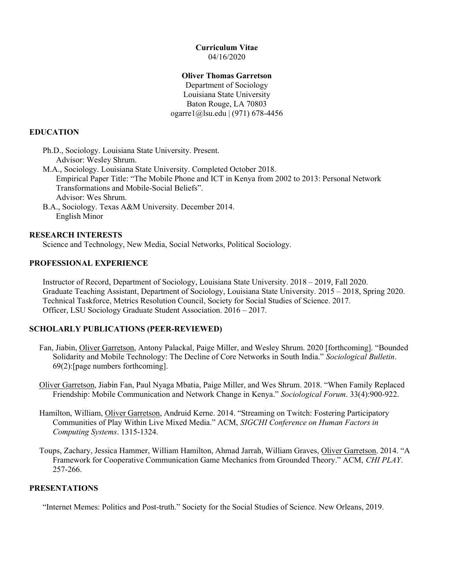#### Curriculum Vitae 04/16/2020

### Oliver Thomas Garretson

Department of Sociology Louisiana State University Baton Rouge, LA 70803 ogarre1@lsu.edu | (971) 678-4456

# EDUCATION

 Ph.D., Sociology. Louisiana State University. Present. Advisor: Wesley Shrum.

- M.A., Sociology. Louisiana State University. Completed October 2018. Empirical Paper Title: "The Mobile Phone and ICT in Kenya from 2002 to 2013: Personal Network Transformations and Mobile-Social Beliefs". Advisor: Wes Shrum.
- B.A., Sociology. Texas A&M University. December 2014. English Minor

# RESEARCH INTERESTS

Science and Technology, New Media, Social Networks, Political Sociology.

# PROFESSIONAL EXPERIENCE

Instructor of Record, Department of Sociology, Louisiana State University. 2018 – 2019, Fall 2020. Graduate Teaching Assistant, Department of Sociology, Louisiana State University. 2015 – 2018, Spring 2020. Technical Taskforce, Metrics Resolution Council, Society for Social Studies of Science. 2017. Officer, LSU Sociology Graduate Student Association. 2016 – 2017.

# SCHOLARLY PUBLICATIONS (PEER-REVIEWED)

- Fan, Jiabin, Oliver Garretson, Antony Palackal, Paige Miller, and Wesley Shrum. 2020 [forthcoming]. "Bounded Solidarity and Mobile Technology: The Decline of Core Networks in South India." Sociological Bulletin. 69(2):[page numbers forthcoming].
- Oliver Garretson, Jiabin Fan, Paul Nyaga Mbatia, Paige Miller, and Wes Shrum. 2018. "When Family Replaced Friendship: Mobile Communication and Network Change in Kenya." Sociological Forum. 33(4):900-922.
- Hamilton, William, Oliver Garretson, Andruid Kerne. 2014. "Streaming on Twitch: Fostering Participatory Communities of Play Within Live Mixed Media." ACM, SIGCHI Conference on Human Factors in Computing Systems. 1315-1324.
- Toups, Zachary, Jessica Hammer, William Hamilton, Ahmad Jarrah, William Graves, Oliver Garretson. 2014. "A Framework for Cooperative Communication Game Mechanics from Grounded Theory." ACM, CHI PLAY. 257-266.

# PRESENTATIONS

"Internet Memes: Politics and Post-truth." Society for the Social Studies of Science. New Orleans, 2019.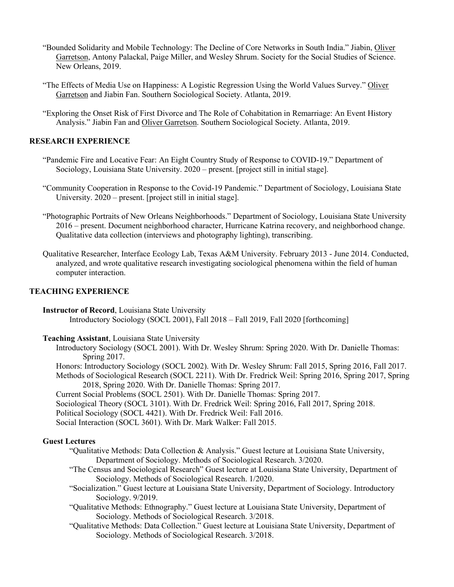- "Bounded Solidarity and Mobile Technology: The Decline of Core Networks in South India." Jiabin, Oliver Garretson, Antony Palackal, Paige Miller, and Wesley Shrum. Society for the Social Studies of Science. New Orleans, 2019.
- "The Effects of Media Use on Happiness: A Logistic Regression Using the World Values Survey." Oliver Garretson and Jiabin Fan. Southern Sociological Society. Atlanta, 2019.
- "Exploring the Onset Risk of First Divorce and The Role of Cohabitation in Remarriage: An Event History Analysis." Jiabin Fan and Oliver Garretson. Southern Sociological Society. Atlanta, 2019.

### RESEARCH EXPERIENCE

- "Pandemic Fire and Locative Fear: An Eight Country Study of Response to COVID-19." Department of Sociology, Louisiana State University. 2020 – present. [project still in initial stage].
- "Community Cooperation in Response to the Covid-19 Pandemic." Department of Sociology, Louisiana State University. 2020 – present. [project still in initial stage].
- "Photographic Portraits of New Orleans Neighborhoods." Department of Sociology, Louisiana State University 2016 – present. Document neighborhood character, Hurricane Katrina recovery, and neighborhood change. Qualitative data collection (interviews and photography lighting), transcribing.
- Qualitative Researcher, Interface Ecology Lab, Texas A&M University. February 2013 June 2014. Conducted, analyzed, and wrote qualitative research investigating sociological phenomena within the field of human computer interaction.

### TEACHING EXPERIENCE

Instructor of Record, Louisiana State University Introductory Sociology (SOCL 2001), Fall 2018 – Fall 2019, Fall 2020 [forthcoming]

- Teaching Assistant, Louisiana State University
	- Introductory Sociology (SOCL 2001). With Dr. Wesley Shrum: Spring 2020. With Dr. Danielle Thomas: Spring 2017.
	- Honors: Introductory Sociology (SOCL 2002). With Dr. Wesley Shrum: Fall 2015, Spring 2016, Fall 2017.
	- Methods of Sociological Research (SOCL 2211). With Dr. Fredrick Weil: Spring 2016, Spring 2017, Spring 2018, Spring 2020. With Dr. Danielle Thomas: Spring 2017.
	- Current Social Problems (SOCL 2501). With Dr. Danielle Thomas: Spring 2017.
	- Sociological Theory (SOCL 3101). With Dr. Fredrick Weil: Spring 2016, Fall 2017, Spring 2018.
	- Political Sociology (SOCL 4421). With Dr. Fredrick Weil: Fall 2016.
	- Social Interaction (SOCL 3601). With Dr. Mark Walker: Fall 2015.

#### Guest Lectures

- "Qualitative Methods: Data Collection & Analysis." Guest lecture at Louisiana State University, Department of Sociology. Methods of Sociological Research. 3/2020.
- "The Census and Sociological Research" Guest lecture at Louisiana State University, Department of Sociology. Methods of Sociological Research. 1/2020.
- "Socialization." Guest lecture at Louisiana State University, Department of Sociology. Introductory Sociology. 9/2019.
- "Qualitative Methods: Ethnography." Guest lecture at Louisiana State University, Department of Sociology. Methods of Sociological Research. 3/2018.
- "Qualitative Methods: Data Collection." Guest lecture at Louisiana State University, Department of Sociology. Methods of Sociological Research. 3/2018.